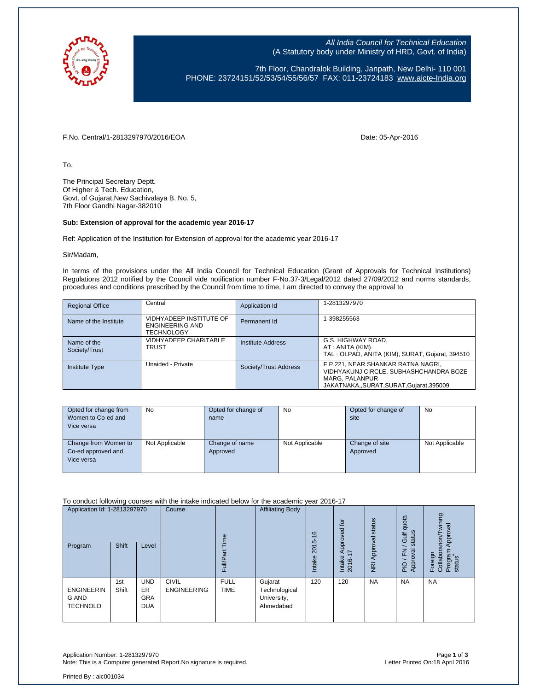

All India Council for Technical Education (A Statutory body under Ministry of HRD, Govt. of India)

7th Floor, Chandralok Building, Janpath, New Delhi- 110 001 PHONE: 23724151/52/53/54/55/56/57 FAX: 011-23724183 [www.aicte-India.org](http://www.aicte-india.org/)

F.No. Central/1-2813297970/2016/EOA Date: 05-Apr-2016

To,

The Principal Secretary Deptt. Of Higher & Tech. Education, Govt. of Gujarat,New Sachivalaya B. No. 5, 7th Floor Gandhi Nagar-382010

## **Sub: Extension of approval for the academic year 2016-17**

Ref: Application of the Institution for Extension of approval for the academic year 2016-17

Sir/Madam,

In terms of the provisions under the All India Council for Technical Education (Grant of Approvals for Technical Institutions) Regulations 2012 notified by the Council vide notification number F-No.37-3/Legal/2012 dated 27/09/2012 and norms standards, procedures and conditions prescribed by the Council from time to time, I am directed to convey the approval to

| <b>Regional Office</b>       | Central                                                                | Application Id        | 1-2813297970                                                                                                                                   |
|------------------------------|------------------------------------------------------------------------|-----------------------|------------------------------------------------------------------------------------------------------------------------------------------------|
| Name of the Institute        | VIDHYADEEP INSTITUTE OF<br><b>ENGINEERING AND</b><br><b>TECHNOLOGY</b> | Permanent Id          | 1-398255563                                                                                                                                    |
| Name of the<br>Society/Trust | <b>VIDHYADEEP CHARITABLE</b><br><b>TRUST</b>                           | Institute Address     | G.S. HIGHWAY ROAD,<br>AT : ANITA (KIM)<br>TAL : OLPAD, ANITA (KIM), SURAT, Guiarat, 394510                                                     |
| <b>Institute Type</b>        | Unaided - Private                                                      | Society/Trust Address | F.P.221, NEAR SHANKAR RATNA NAGRI,<br>VIDHYAKUNJ CIRCLE, SUBHASHCHANDRA BOZE<br><b>MARG. PALANPUR</b><br>JAKATNAKA,,SURAT,SURAT,Gujarat,395009 |

| Opted for change from | No             | Opted for change of | <b>No</b>      | Opted for change of | No             |
|-----------------------|----------------|---------------------|----------------|---------------------|----------------|
| Women to Co-ed and    |                | name                |                | site                |                |
| Vice versa            |                |                     |                |                     |                |
|                       |                |                     |                |                     |                |
| Change from Women to  | Not Applicable | Change of name      | Not Applicable | Change of site      | Not Applicable |
| Co-ed approved and    |                | Approved            |                | Approved            |                |
| Vice versa            |                |                     |                |                     |                |
|                       |                |                     |                |                     |                |

To conduct following courses with the intake indicated below for the academic year 2016-17

| Application Id: 1-2813297970<br>Program       | <b>Shift</b> | Level                                               | Course                             | em<br>Ξ<br>u.              | <b>Affiliating Body</b>                              | $\circ$<br>$\div$<br>ယ<br>201<br>Intake | tor<br>Approved<br>$\overline{ }$<br>Intake<br>2016- | status<br>Approval<br>$\overline{R}$ | quota<br>status<br>Gulf<br>준<br>roval<br>App<br>PIO | wining<br>Approval<br>arion/<br>Program<br>status<br>Foreign<br>Collabor |
|-----------------------------------------------|--------------|-----------------------------------------------------|------------------------------------|----------------------------|------------------------------------------------------|-----------------------------------------|------------------------------------------------------|--------------------------------------|-----------------------------------------------------|--------------------------------------------------------------------------|
| <b>ENGINEERIN</b><br>G AND<br><b>TECHNOLO</b> | 1st<br>Shift | <b>UND</b><br><b>ER</b><br><b>GRA</b><br><b>DUA</b> | <b>CIVIL</b><br><b>ENGINEERING</b> | <b>FULL</b><br><b>TIME</b> | Gujarat<br>Technological<br>University,<br>Ahmedabad | 120                                     | 120                                                  | <b>NA</b>                            | <b>NA</b>                                           | <b>NA</b>                                                                |

Application Number: 1-2813297970 Page **1** of **3** Note: This is a Computer generated Report.No signature is required.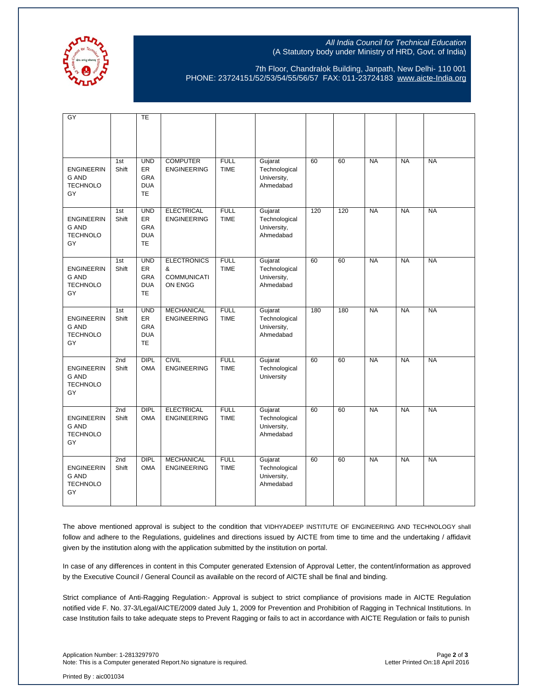

## All India Council for Technical Education (A Statutory body under Ministry of HRD, Govt. of India)

7th Floor, Chandralok Building, Janpath, New Delhi- 110 001 PHONE: 23724151/52/53/54/55/56/57 FAX: 011-23724183 [www.aicte-India.org](http://www.aicte-india.org/)

| GY                                                         |                          | <b>TE</b>                                                        |                                                          |                            |                                                      |     |     |           |           |           |
|------------------------------------------------------------|--------------------------|------------------------------------------------------------------|----------------------------------------------------------|----------------------------|------------------------------------------------------|-----|-----|-----------|-----------|-----------|
| <b>ENGINEERIN</b><br><b>G AND</b><br><b>TECHNOLO</b><br>GY | 1st<br>Shift             | <b>UND</b><br>ER<br>GRA<br><b>DUA</b><br><b>TE</b>               | <b>COMPUTER</b><br><b>ENGINEERING</b>                    | <b>FULL</b><br><b>TIME</b> | Gujarat<br>Technological<br>University,<br>Ahmedabad | 60  | 60  | <b>NA</b> | <b>NA</b> | <b>NA</b> |
| <b>ENGINEERIN</b><br><b>G AND</b><br><b>TECHNOLO</b><br>GY | 1st<br>Shift             | <b>UND</b><br><b>ER</b><br><b>GRA</b><br><b>DUA</b><br><b>TE</b> | <b>ELECTRICAL</b><br><b>ENGINEERING</b>                  | <b>FULL</b><br><b>TIME</b> | Gujarat<br>Technological<br>University,<br>Ahmedabad | 120 | 120 | <b>NA</b> | <b>NA</b> | <b>NA</b> |
| <b>ENGINEERIN</b><br><b>G AND</b><br><b>TECHNOLO</b><br>GY | 1st<br>Shift             | <b>UND</b><br><b>ER</b><br><b>GRA</b><br><b>DUA</b><br><b>TE</b> | <b>ELECTRONICS</b><br>&<br><b>COMMUNICATI</b><br>ON ENGG | <b>FULL</b><br><b>TIME</b> | Gujarat<br>Technological<br>University,<br>Ahmedabad | 60  | 60  | <b>NA</b> | <b>NA</b> | <b>NA</b> |
| <b>ENGINEERIN</b><br><b>G AND</b><br><b>TECHNOLO</b><br>GY | 1st<br>Shift             | <b>UND</b><br>ER<br>GRA<br><b>DUA</b><br><b>TE</b>               | <b>MECHANICAL</b><br><b>ENGINEERING</b>                  | <b>FULL</b><br><b>TIME</b> | Gujarat<br>Technological<br>University,<br>Ahmedabad | 180 | 180 | <b>NA</b> | <b>NA</b> | <b>NA</b> |
| <b>ENGINEERIN</b><br><b>G AND</b><br><b>TECHNOLO</b><br>GY | 2nd<br>Shift             | <b>DIPL</b><br><b>OMA</b>                                        | <b>CIVIL</b><br><b>ENGINEERING</b>                       | <b>FULL</b><br><b>TIME</b> | Gujarat<br>Technological<br>University               | 60  | 60  | <b>NA</b> | <b>NA</b> | <b>NA</b> |
| <b>ENGINEERIN</b><br><b>G AND</b><br><b>TECHNOLO</b><br>GY | 2nd<br>Shift             | <b>DIPL</b><br><b>OMA</b>                                        | <b>ELECTRICAL</b><br><b>ENGINEERING</b>                  | <b>FULL</b><br><b>TIME</b> | Gujarat<br>Technological<br>University,<br>Ahmedabad | 60  | 60  | <b>NA</b> | <b>NA</b> | <b>NA</b> |
| <b>ENGINEERIN</b><br>G AND<br><b>TECHNOLO</b><br>GY        | 2 <sub>nd</sub><br>Shift | <b>DIPL</b><br><b>OMA</b>                                        | <b>MECHANICAL</b><br><b>ENGINEERING</b>                  | <b>FULL</b><br><b>TIME</b> | Gujarat<br>Technological<br>University,<br>Ahmedabad | 60  | 60  | <b>NA</b> | <b>NA</b> | <b>NA</b> |

The above mentioned approval is subject to the condition that VIDHYADEEP INSTITUTE OF ENGINEERING AND TECHNOLOGY shall follow and adhere to the Regulations, guidelines and directions issued by AICTE from time to time and the undertaking / affidavit given by the institution along with the application submitted by the institution on portal.

In case of any differences in content in this Computer generated Extension of Approval Letter, the content/information as approved by the Executive Council / General Council as available on the record of AICTE shall be final and binding.

Strict compliance of Anti-Ragging Regulation:- Approval is subject to strict compliance of provisions made in AICTE Regulation notified vide F. No. 37-3/Legal/AICTE/2009 dated July 1, 2009 for Prevention and Prohibition of Ragging in Technical Institutions. In case Institution fails to take adequate steps to Prevent Ragging or fails to act in accordance with AICTE Regulation or fails to punish